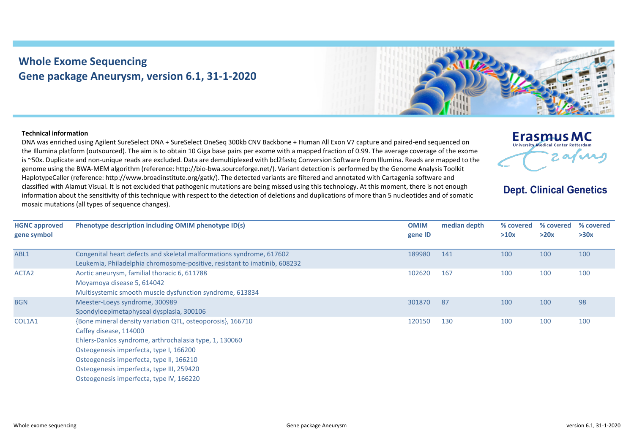## **Whole Exome Sequencing Gene package Aneurysm, version 6.1, 31-1-2020**



## **Technical information**

DNA was enriched using Agilent SureSelect DNA + SureSelect OneSeq 300kb CNV Backbone + Human All Exon V7 capture and paired-end sequenced on the Illumina platform (outsourced). The aim is to obtain 10 Giga base pairs per exome with a mapped fraction of 0.99. The average coverage of the exome is ~50x. Duplicate and non-unique reads are excluded. Data are demultiplexed with bcl2fastq Conversion Software from Illumina. Reads are mapped to the genome using the BWA-MEM algorithm (reference: http://bio-bwa.sourceforge.net/). Variant detection is performed by the Genome Analysis Toolkit HaplotypeCaller (reference: http://www.broadinstitute.org/gatk/). The detected variants are filtered and annotated with Cartagenia software and classified with Alamut Visual. It is not excluded that pathogenic mutations are being missed using this technology. At this moment, there is not enough information about the sensitivity of this technique with respect to the detection of deletions and duplications of more than 5 nucleotides and of somatic mosaic mutations (all types of sequence changes).



**Dept. Clinical Genetics** 

| <b>HGNC approved</b><br>gene symbol | Phenotype description including OMIM phenotype ID(s)                      | <b>OMIM</b><br>gene ID | median depth | % covered<br>>10x | % covered<br>>20x | % covered<br>>30x |
|-------------------------------------|---------------------------------------------------------------------------|------------------------|--------------|-------------------|-------------------|-------------------|
|                                     |                                                                           |                        |              |                   |                   |                   |
| ABL1                                | Congenital heart defects and skeletal malformations syndrome, 617602      | 189980                 | 141          | 100               | 100               | 100               |
|                                     | Leukemia, Philadelphia chromosome-positive, resistant to imatinib, 608232 |                        |              |                   |                   |                   |
| ACTA <sub>2</sub>                   | Aortic aneurysm, familial thoracic 6, 611788                              | 102620                 | 167          | 100               | 100               | 100               |
|                                     | Moyamoya disease 5, 614042                                                |                        |              |                   |                   |                   |
|                                     | Multisystemic smooth muscle dysfunction syndrome, 613834                  |                        |              |                   |                   |                   |
| <b>BGN</b>                          | Meester-Loeys syndrome, 300989                                            | 301870                 | 87           | 100               | 100               | 98                |
|                                     | Spondyloepimetaphyseal dysplasia, 300106                                  |                        |              |                   |                   |                   |
| COL1A1                              | {Bone mineral density variation QTL, osteoporosis}, 166710                | 120150                 | 130          | 100               | 100               | 100               |
|                                     | Caffey disease, 114000                                                    |                        |              |                   |                   |                   |
|                                     | Ehlers-Danlos syndrome, arthrochalasia type, 1, 130060                    |                        |              |                   |                   |                   |
|                                     | Osteogenesis imperfecta, type I, 166200                                   |                        |              |                   |                   |                   |
|                                     | Osteogenesis imperfecta, type II, 166210                                  |                        |              |                   |                   |                   |
|                                     | Osteogenesis imperfecta, type III, 259420                                 |                        |              |                   |                   |                   |
|                                     | Osteogenesis imperfecta, type IV, 166220                                  |                        |              |                   |                   |                   |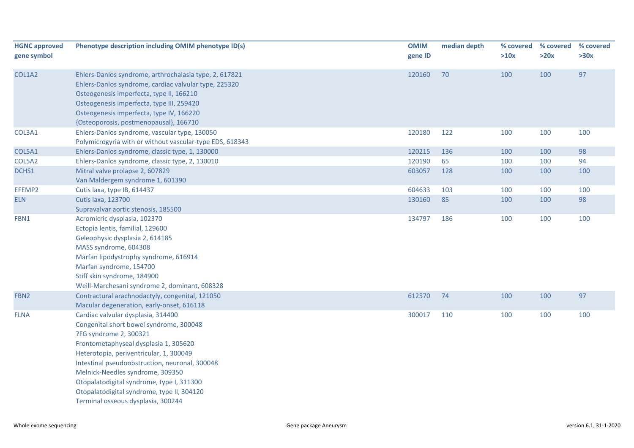| <b>HGNC approved</b> | Phenotype description including OMIM phenotype ID(s)     | <b>OMIM</b> | median depth | % covered | % covered | % covered |
|----------------------|----------------------------------------------------------|-------------|--------------|-----------|-----------|-----------|
| gene symbol          |                                                          | gene ID     |              | >10x      | >20x      | >30x      |
| COL1A2               | Ehlers-Danlos syndrome, arthrochalasia type, 2, 617821   | 120160      | 70           | 100       | 100       | 97        |
|                      | Ehlers-Danlos syndrome, cardiac valvular type, 225320    |             |              |           |           |           |
|                      | Osteogenesis imperfecta, type II, 166210                 |             |              |           |           |           |
|                      | Osteogenesis imperfecta, type III, 259420                |             |              |           |           |           |
|                      | Osteogenesis imperfecta, type IV, 166220                 |             |              |           |           |           |
|                      | {Osteoporosis, postmenopausal}, 166710                   |             |              |           |           |           |
| COL3A1               | Ehlers-Danlos syndrome, vascular type, 130050            | 120180      | 122          | 100       | 100       | 100       |
|                      | Polymicrogyria with or without vascular-type EDS, 618343 |             |              |           |           |           |
| COL5A1               | Ehlers-Danlos syndrome, classic type, 1, 130000          | 120215      | 136          | 100       | 100       | 98        |
| COL5A2               | Ehlers-Danlos syndrome, classic type, 2, 130010          | 120190      | 65           | 100       | 100       | 94        |
| DCHS1                | Mitral valve prolapse 2, 607829                          | 603057      | 128          | 100       | 100       | 100       |
|                      | Van Maldergem syndrome 1, 601390                         |             |              |           |           |           |
| EFEMP2               | Cutis laxa, type IB, 614437                              | 604633      | 103          | 100       | 100       | 100       |
| <b>ELN</b>           | <b>Cutis laxa, 123700</b>                                | 130160      | 85           | 100       | 100       | 98        |
|                      | Supravalvar aortic stenosis, 185500                      |             |              |           |           |           |
| FBN1                 | Acromicric dysplasia, 102370                             | 134797      | 186          | 100       | 100       | 100       |
|                      | Ectopia lentis, familial, 129600                         |             |              |           |           |           |
|                      | Geleophysic dysplasia 2, 614185                          |             |              |           |           |           |
|                      | MASS syndrome, 604308                                    |             |              |           |           |           |
|                      | Marfan lipodystrophy syndrome, 616914                    |             |              |           |           |           |
|                      | Marfan syndrome, 154700                                  |             |              |           |           |           |
|                      | Stiff skin syndrome, 184900                              |             |              |           |           |           |
|                      | Weill-Marchesani syndrome 2, dominant, 608328            |             |              |           |           |           |
| FBN <sub>2</sub>     | Contractural arachnodactyly, congenital, 121050          | 612570      | 74           | 100       | 100       | 97        |
|                      | Macular degeneration, early-onset, 616118                |             |              |           |           |           |
| <b>FLNA</b>          | Cardiac valvular dysplasia, 314400                       | 300017      | 110          | 100       | 100       | 100       |
|                      | Congenital short bowel syndrome, 300048                  |             |              |           |           |           |
|                      | ?FG syndrome 2, 300321                                   |             |              |           |           |           |
|                      | Frontometaphyseal dysplasia 1, 305620                    |             |              |           |           |           |
|                      | Heterotopia, periventricular, 1, 300049                  |             |              |           |           |           |
|                      | Intestinal pseudoobstruction, neuronal, 300048           |             |              |           |           |           |
|                      | Melnick-Needles syndrome, 309350                         |             |              |           |           |           |
|                      | Otopalatodigital syndrome, type I, 311300                |             |              |           |           |           |
|                      | Otopalatodigital syndrome, type II, 304120               |             |              |           |           |           |
|                      | Terminal osseous dysplasia, 300244                       |             |              |           |           |           |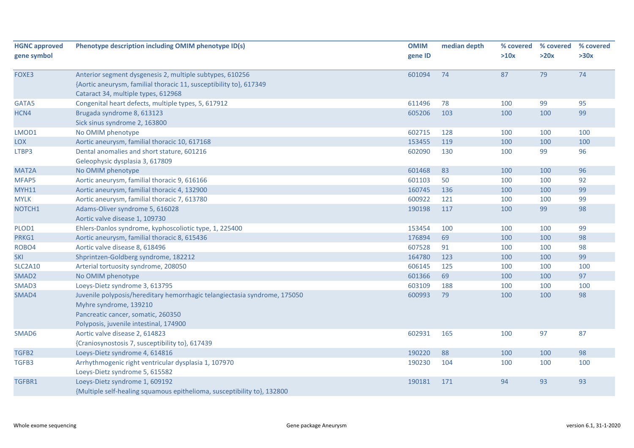| <b>HGNC approved</b> | Phenotype description including OMIM phenotype ID(s)                      | <b>OMIM</b> | median depth | % covered | % covered | % covered |
|----------------------|---------------------------------------------------------------------------|-------------|--------------|-----------|-----------|-----------|
| gene symbol          |                                                                           | gene ID     |              | >10x      | >20x      | >30x      |
| FOXE3                | Anterior segment dysgenesis 2, multiple subtypes, 610256                  | 601094      | 74           | 87        | 79        | 74        |
|                      | {Aortic aneurysm, familial thoracic 11, susceptibility to}, 617349        |             |              |           |           |           |
|                      | Cataract 34, multiple types, 612968                                       |             |              |           |           |           |
| GATA5                | Congenital heart defects, multiple types, 5, 617912                       | 611496      | 78           | 100       | 99        | 95        |
| HCN4                 | Brugada syndrome 8, 613123                                                | 605206      | 103          | 100       | 100       | 99        |
|                      | Sick sinus syndrome 2, 163800                                             |             |              |           |           |           |
| LMOD1                | No OMIM phenotype                                                         | 602715      | 128          | 100       | 100       | 100       |
| LOX                  | Aortic aneurysm, familial thoracic 10, 617168                             | 153455      | 119          | 100       | 100       | 100       |
| LTBP3                | Dental anomalies and short stature, 601216                                | 602090      | 130          | 100       | 99        | 96        |
|                      | Geleophysic dysplasia 3, 617809                                           |             |              |           |           |           |
| MAT <sub>2</sub> A   | No OMIM phenotype                                                         | 601468      | 83           | 100       | 100       | 96        |
| MFAP5                | Aortic aneurysm, familial thoracic 9, 616166                              | 601103      | 50           | 100       | 100       | 92        |
| <b>MYH11</b>         | Aortic aneurysm, familial thoracic 4, 132900                              | 160745      | 136          | 100       | 100       | 99        |
| <b>MYLK</b>          | Aortic aneurysm, familial thoracic 7, 613780                              | 600922      | 121          | 100       | 100       | 99        |
| NOTCH1               | Adams-Oliver syndrome 5, 616028                                           | 190198      | 117          | 100       | 99        | 98        |
|                      | Aortic valve disease 1, 109730                                            |             |              |           |           |           |
| PLOD1                | Ehlers-Danlos syndrome, kyphoscoliotic type, 1, 225400                    | 153454      | 100          | 100       | 100       | 99        |
| PRKG1                | Aortic aneurysm, familial thoracic 8, 615436                              | 176894      | 69           | 100       | 100       | 98        |
| ROBO4                | Aortic valve disease 8, 618496                                            | 607528      | 91           | 100       | 100       | 98        |
| <b>SKI</b>           | Shprintzen-Goldberg syndrome, 182212                                      | 164780      | 123          | 100       | 100       | 99        |
| <b>SLC2A10</b>       | Arterial tortuosity syndrome, 208050                                      | 606145      | 125          | 100       | 100       | 100       |
| SMAD <sub>2</sub>    | No OMIM phenotype                                                         | 601366      | 69           | 100       | 100       | 97        |
| SMAD3                | Loeys-Dietz syndrome 3, 613795                                            | 603109      | 188          | 100       | 100       | 100       |
| SMAD4                | Juvenile polyposis/hereditary hemorrhagic telangiectasia syndrome, 175050 | 600993      | 79           | 100       | 100       | 98        |
|                      | Myhre syndrome, 139210                                                    |             |              |           |           |           |
|                      | Pancreatic cancer, somatic, 260350                                        |             |              |           |           |           |
|                      | Polyposis, juvenile intestinal, 174900                                    |             |              |           |           |           |
| SMAD6                | Aortic valve disease 2, 614823                                            | 602931      | 165          | 100       | 97        | 87        |
|                      | {Craniosynostosis 7, susceptibility to}, 617439                           |             |              |           |           |           |
| TGFB2                | Loeys-Dietz syndrome 4, 614816                                            | 190220      | 88           | 100       | 100       | 98        |
| TGFB3                | Arrhythmogenic right ventricular dysplasia 1, 107970                      | 190230      | 104          | 100       | 100       | 100       |
|                      | Loeys-Dietz syndrome 5, 615582                                            |             |              |           |           |           |
| TGFBR1               | Loeys-Dietz syndrome 1, 609192                                            | 190181      | 171          | 94        | 93        | 93        |
|                      | {Multiple self-healing squamous epithelioma, susceptibility to}, 132800   |             |              |           |           |           |